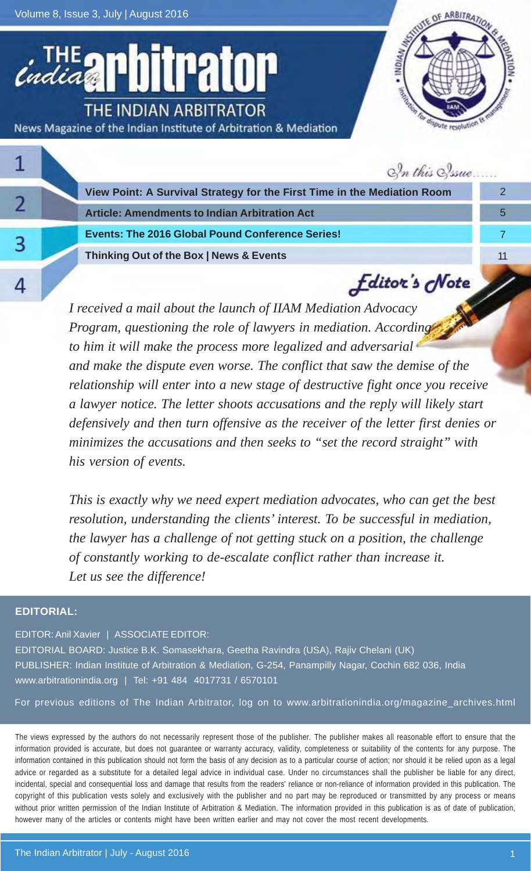Volume 8, Issue 3, July | August 2016

itrator THE INDIAN ARBITRATOR News Magazine of the Indian Institute of Arbitration & Mediation



|  | In this Sysue                                                            |   |
|--|--------------------------------------------------------------------------|---|
|  | View Point: A Survival Strategy for the First Time in the Mediation Room |   |
|  | <b>Article: Amendments to Indian Arbitration Act</b>                     | 5 |
|  | <b>Events: The 2016 Global Pound Conference Series!</b>                  |   |
|  | Thinking Out of the Box   News & Events                                  |   |
|  | <b><i><u>Editor's</u></i></b> Note                                       |   |

*I received a mail about the launch of IIAM Mediation Advocacy Program, questioning the role of lawyers in mediation. According to him it will make the process more legalized and adversarial and make the dispute even worse. The conflict that saw the demise of the relationship will enter into a new stage of destructive fight once you receive a lawyer notice. The letter shoots accusations and the reply will likely start defensively and then turn offensive as the receiver of the letter first denies or minimizes the accusations and then seeks to "set the record straight" with his version of events.*

*This is exactly why we need expert mediation advocates, who can get the best resolution, understanding the clients' interest. To be successful in mediation, the lawyer has a challenge of not getting stuck on a position, the challenge of constantly working to de-escalate conflict rather than increase it. Let us see the difference!*

#### **EDITORIAL:**

EDITOR: Anil Xavier | ASSOCIATE EDITOR:

EDITORIAL BOARD: Justice B.K. Somasekhara, Geetha Ravindra (USA), Rajiv Chelani (UK) PUBLISHER: Indian Institute of Arbitration & Mediation, G-254, Panampilly Nagar, Cochin 682 036, India www.arbitrationindia.org | Tel: +91 484 4017731 / 6570101

For previous editions of The Indian Arbitrator, log on to www.arbitrationindia.org/magazine\_archives.html

The views expressed by the authors do not necessarily represent those of the publisher. The publisher makes all reasonable effort to ensure that the information provided is accurate, but does not guarantee or warranty accuracy, validity, completeness or suitability of the contents for any purpose. The information contained in this publication should not form the basis of any decision as to a particular course of action; nor should it be relied upon as a legal advice or regarded as a substitute for a detailed legal advice in individual case. Under no circumstances shall the publisher be liable for any direct, incidental, special and consequential loss and damage that results from the readers' reliance or non-reliance of information provided in this publication. The copyright of this publication vests solely and exclusively with the publisher and no part may be reproduced or transmitted by any process or means without prior written permission of the Indian Institute of Arbitration & Mediation. The information provided in this publication is as of date of publication, however many of the articles or contents might have been written earlier and may not cover the most recent developments.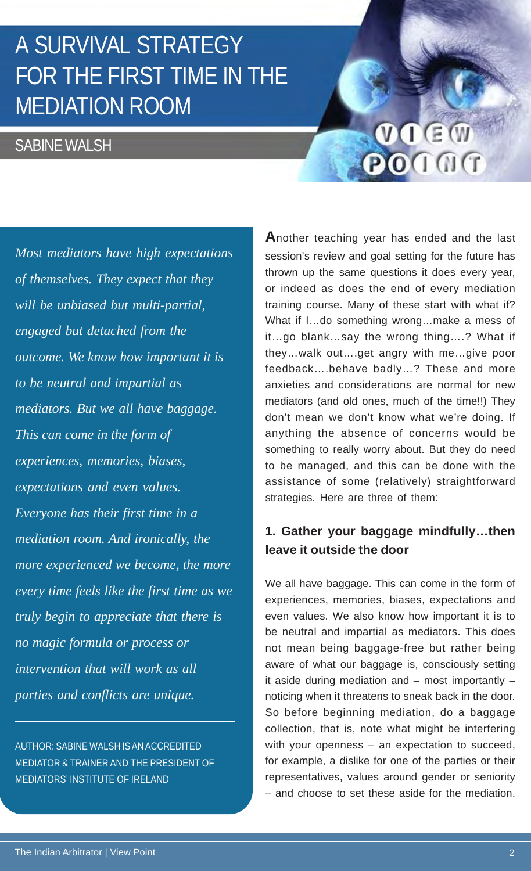# A SURVIVAL STRATEGY FOR THE FIRST TIME IN THE MEDIATION ROOM

### SABINE WALSH

 $V \cap G \times W$ POINT

*Most mediators have high expectations of themselves. They expect that they will be unbiased but multi-partial, engaged but detached from the outcome. We know how important it is to be neutral and impartial as mediators. But we all have baggage. This can come in the form of experiences, memories, biases, expectations and even values. Everyone has their first time in a mediation room. And ironically, the more experienced we become, the more every time feels like the first time as we truly begin to appreciate that there is no magic formula or process or intervention that will work as all parties and conflicts are unique.*

AUTHOR: SABINE WALSH IS AN ACCREDITED MEDIATOR & TRAINER AND THE PRESIDENT OF MEDIATORS' INSTITUTE OF IRELAND

**A**nother teaching year has ended and the last session's review and goal setting for the future has thrown up the same questions it does every year, or indeed as does the end of every mediation training course. Many of these start with what if? What if I…do something wrong…make a mess of it…go blank…say the wrong thing….? What if they…walk out….get angry with me…give poor feedback….behave badly…? These and more anxieties and considerations are normal for new mediators (and old ones, much of the time!!) They don't mean we don't know what we're doing. If anything the absence of concerns would be something to really worry about. But they do need to be managed, and this can be done with the assistance of some (relatively) straightforward strategies. Here are three of them:

#### **1. Gather your baggage mindfully…then leave it outside the door**

We all have baggage. This can come in the form of experiences, memories, biases, expectations and even values. We also know how important it is to be neutral and impartial as mediators. This does not mean being baggage-free but rather being aware of what our baggage is, consciously setting it aside during mediation and – most importantly – noticing when it threatens to sneak back in the door. So before beginning mediation, do a baggage collection, that is, note what might be interfering with your openness – an expectation to succeed, for example, a dislike for one of the parties or their representatives, values around gender or seniority – and choose to set these aside for the mediation.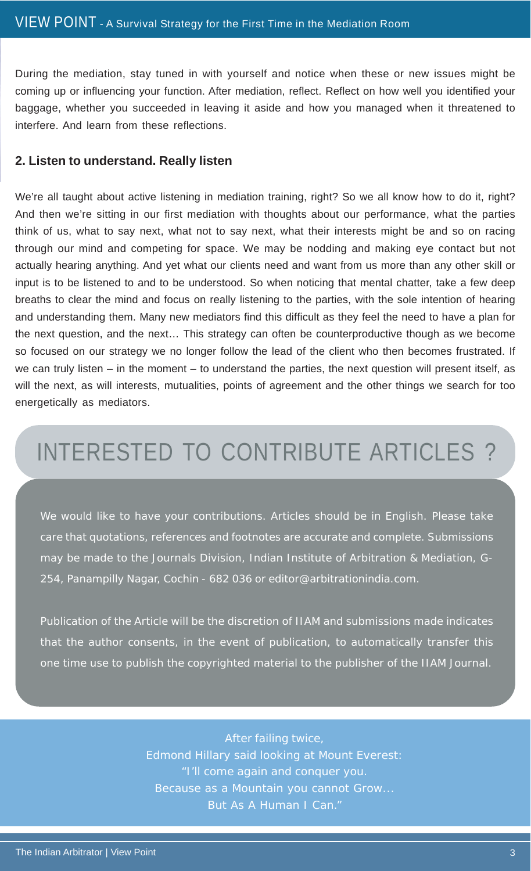During the mediation, stay tuned in with yourself and notice when these or new issues might be coming up or influencing your function. After mediation, reflect. Reflect on how well you identified your baggage, whether you succeeded in leaving it aside and how you managed when it threatened to interfere. And learn from these reflections.

#### **2. Listen to understand. Really listen**

We're all taught about active listening in mediation training, right? So we all know how to do it, right? And then we're sitting in our first mediation with thoughts about our performance, what the parties think of us, what to say next, what not to say next, what their interests might be and so on racing through our mind and competing for space. We may be nodding and making eye contact but not actually hearing anything. And yet what our clients need and want from us more than any other skill or input is to be listened to and to be understood. So when noticing that mental chatter, take a few deep breaths to clear the mind and focus on really listening to the parties, with the sole intention of hearing and understanding them. Many new mediators find this difficult as they feel the need to have a plan for the next question, and the next… This strategy can often be counterproductive though as we become so focused on our strategy we no longer follow the lead of the client who then becomes frustrated. If we can truly listen – in the moment – to understand the parties, the next question will present itself, as will the next, as will interests, mutualities, points of agreement and the other things we search for too energetically as mediators.

# INTERESTED TO CONTRIBUTE ARTICLES ?

We would like to have your contributions. Articles should be in English. Please take care that quotations, references and footnotes are accurate and complete. Submissions may be made to the Journals Division, Indian Institute of Arbitration & Mediation, G-254, Panampilly Nagar, Cochin - 682 036 or editor@arbitrationindia.com.

Publication of the Article will be the discretion of IIAM and submissions made indicates that the author consents, in the event of publication, to automatically transfer this one time use to publish the copyrighted material to the publisher of the IIAM Journal.

> After failing twice, Edmond Hillary said looking at Mount Everest: "I'll come again and conquer you. Because as a Mountain you cannot Grow... But As A Human I Can."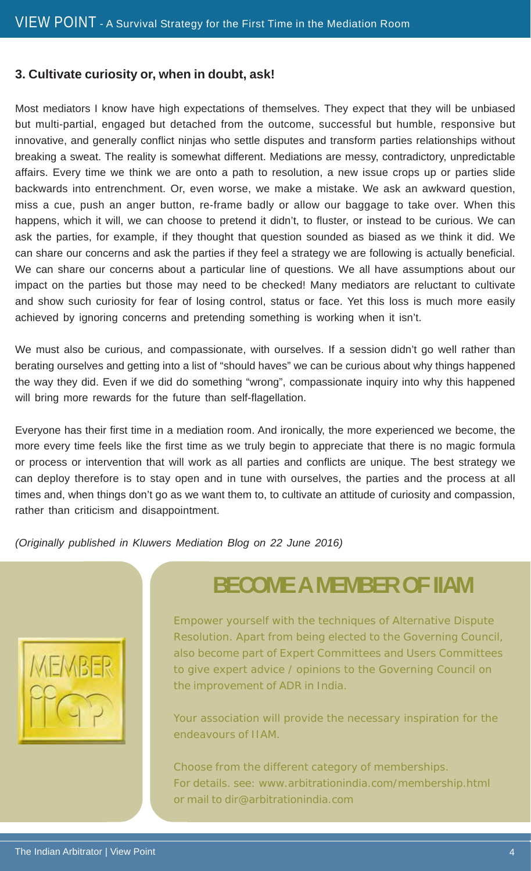#### **3. Cultivate curiosity or, when in doubt, ask!**

Most mediators I know have high expectations of themselves. They expect that they will be unbiased but multi-partial, engaged but detached from the outcome, successful but humble, responsive but innovative, and generally conflict ninjas who settle disputes and transform parties relationships without breaking a sweat. The reality is somewhat different. Mediations are messy, contradictory, unpredictable affairs. Every time we think we are onto a path to resolution, a new issue crops up or parties slide backwards into entrenchment. Or, even worse, we make a mistake. We ask an awkward question, miss a cue, push an anger button, re-frame badly or allow our baggage to take over. When this happens, which it will, we can choose to pretend it didn't, to fluster, or instead to be curious. We can ask the parties, for example, if they thought that question sounded as biased as we think it did. We can share our concerns and ask the parties if they feel a strategy we are following is actually beneficial. We can share our concerns about a particular line of questions. We all have assumptions about our impact on the parties but those may need to be checked! Many mediators are reluctant to cultivate and show such curiosity for fear of losing control, status or face. Yet this loss is much more easily achieved by ignoring concerns and pretending something is working when it isn't.

We must also be curious, and compassionate, with ourselves. If a session didn't go well rather than berating ourselves and getting into a list of "should haves" we can be curious about why things happened the way they did. Even if we did do something "wrong", compassionate inquiry into why this happened will bring more rewards for the future than self-flagellation.

Everyone has their first time in a mediation room. And ironically, the more experienced we become, the more every time feels like the first time as we truly begin to appreciate that there is no magic formula or process or intervention that will work as all parties and conflicts are unique. The best strategy we can deploy therefore is to stay open and in tune with ourselves, the parties and the process at all times and, when things don't go as we want them to, to cultivate an attitude of curiosity and compassion, rather than criticism and disappointment.

*(Originally published in Kluwers Mediation Blog on 22 June 2016)*



### **BECOME A MEMBER OF IIAM**

Empower yourself with the techniques of Alternative Dispute Resolution. Apart from being elected to the Governing Council, also become part of Expert Committees and Users Committees to give expert advice / opinions to the Governing Council on the improvement of ADR in India.

Your association will provide the necessary inspiration for the endeavours of IIAM.

Choose from the different category of memberships. For details. see: www.arbitrationindia.com/membership.html or mail to dir@arbitrationindia.com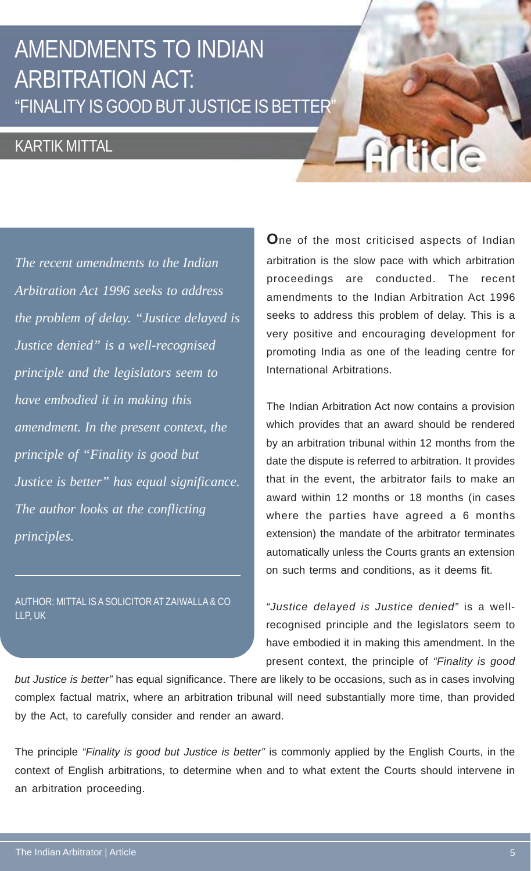### AMENDMENTS TO INDIAN ARBITRATION ACT: "FINALITY IS GOOD BUT JUSTICE IS BETTER"

### KARTIK MITTAL

*The recent amendments to the Indian Arbitration Act 1996 seeks to address the problem of delay. "Justice delayed is Justice denied" is a well-recognised principle and the legislators seem to have embodied it in making this amendment. In the present context, the principle of "Finality is good but Justice is better" has equal significance. The author looks at the conflicting principles.*

AUTHOR: MITTAL IS A SOLICITOR AT ZAIWALLA & CO LLP, UK

**O**ne of the most criticised aspects of Indian arbitration is the slow pace with which arbitration proceedings are conducted. The recent amendments to the Indian Arbitration Act 1996 seeks to address this problem of delay. This is a very positive and encouraging development for promoting India as one of the leading centre for International Arbitrations.

Article

The Indian Arbitration Act now contains a provision which provides that an award should be rendered by an arbitration tribunal within 12 months from the date the dispute is referred to arbitration. It provides that in the event, the arbitrator fails to make an award within 12 months or 18 months (in cases where the parties have agreed a 6 months extension) the mandate of the arbitrator terminates automatically unless the Courts grants an extension on such terms and conditions, as it deems fit.

*"Justice delayed is Justice denied"* is a wellrecognised principle and the legislators seem to have embodied it in making this amendment. In the present context, the principle of *"Finality is good*

*but Justice is better"* has equal significance. There are likely to be occasions, such as in cases involving complex factual matrix, where an arbitration tribunal will need substantially more time, than provided by the Act, to carefully consider and render an award.

The principle *"Finality is good but Justice is better"* is commonly applied by the English Courts, in the context of English arbitrations, to determine when and to what extent the Courts should intervene in an arbitration proceeding.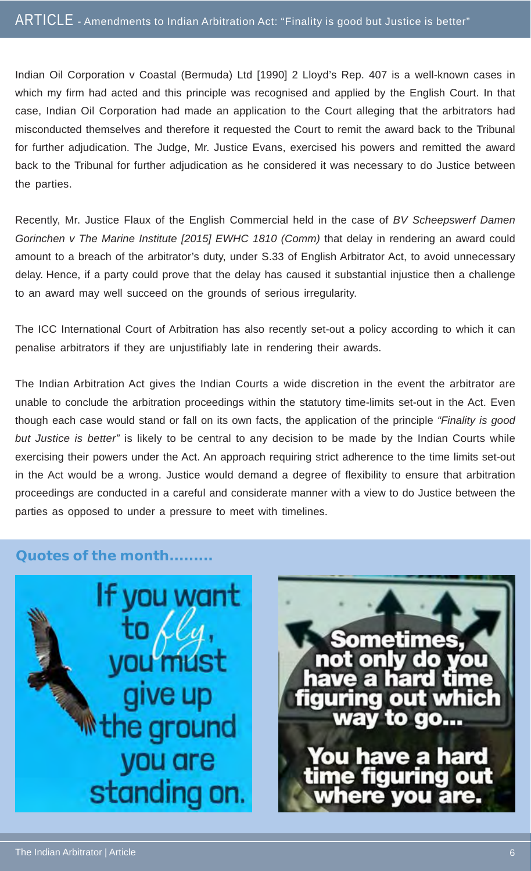Indian Oil Corporation v Coastal (Bermuda) Ltd [1990] 2 Lloyd's Rep. 407 is a well-known cases in which my firm had acted and this principle was recognised and applied by the English Court. In that case, Indian Oil Corporation had made an application to the Court alleging that the arbitrators had misconducted themselves and therefore it requested the Court to remit the award back to the Tribunal for further adjudication. The Judge, Mr. Justice Evans, exercised his powers and remitted the award back to the Tribunal for further adjudication as he considered it was necessary to do Justice between the parties.

Recently, Mr. Justice Flaux of the English Commercial held in the case of *BV Scheepswerf Damen Gorinchen v The Marine Institute [2015] EWHC 1810 (Comm)* that delay in rendering an award could amount to a breach of the arbitrator's duty, under S.33 of English Arbitrator Act, to avoid unnecessary delay. Hence, if a party could prove that the delay has caused it substantial injustice then a challenge to an award may well succeed on the grounds of serious irregularity.

The ICC International Court of Arbitration has also recently set-out a policy according to which it can penalise arbitrators if they are unjustifiably late in rendering their awards.

The Indian Arbitration Act gives the Indian Courts a wide discretion in the event the arbitrator are unable to conclude the arbitration proceedings within the statutory time-limits set-out in the Act. Even though each case would stand or fall on its own facts, the application of the principle *"Finality is good but Justice is better"* is likely to be central to any decision to be made by the Indian Courts while exercising their powers under the Act. An approach requiring strict adherence to the time limits set-out in the Act would be a wrong. Justice would demand a degree of flexibility to ensure that arbitration proceedings are conducted in a careful and considerate manner with a view to do Justice between the parties as opposed to under a pressure to meet with timelines.

#### **Quotes of the month.........**



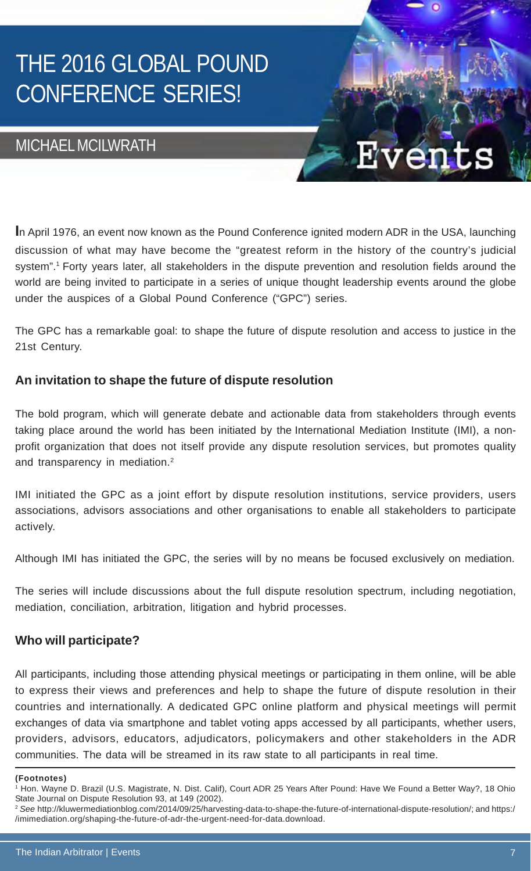# THE 2016 GLOBAL POUND CONFERENCE SERIES!

#### MICHAEL MCILWRATH

**I**n April 1976, an event now known as the Pound Conference ignited modern ADR in the USA, launching discussion of what may have become the "greatest reform in the history of the country's judicial system".1 Forty years later, all stakeholders in the dispute prevention and resolution fields around the world are being invited to participate in a series of unique thought leadership events around the globe under the auspices of a Global Pound Conference ("GPC") series.

er

The GPC has a remarkable goal: to shape the future of dispute resolution and access to justice in the 21st Century.

#### **An invitation to shape the future of dispute resolution**

The bold program, which will generate debate and actionable data from stakeholders through events taking place around the world has been initiated by the International Mediation Institute (IMI), a nonprofit organization that does not itself provide any dispute resolution services, but promotes quality and transparency in mediation.<sup>2</sup>

IMI initiated the GPC as a joint effort by dispute resolution institutions, service providers, users associations, advisors associations and other organisations to enable all stakeholders to participate actively.

Although IMI has initiated the GPC, the series will by no means be focused exclusively on mediation.

The series will include discussions about the full dispute resolution spectrum, including negotiation, mediation, conciliation, arbitration, litigation and hybrid processes.

#### **Who will participate?**

All participants, including those attending physical meetings or participating in them online, will be able to express their views and preferences and help to shape the future of dispute resolution in their countries and internationally. A dedicated GPC online platform and physical meetings will permit exchanges of data via smartphone and tablet voting apps accessed by all participants, whether users, providers, advisors, educators, adjudicators, policymakers and other stakeholders in the ADR communities. The data will be streamed in its raw state to all participants in real time.

**<sup>(</sup>Footnotes)**

<sup>1</sup> Hon. Wayne D. Brazil (U.S. Magistrate, N. Dist. Calif), Court ADR 25 Years After Pound: Have We Found a Better Way?, 18 Ohio State Journal on Dispute Resolution 93, at 149 (2002).

<sup>2</sup> *See* http://kluwermediationblog.com/2014/09/25/harvesting-data-to-shape-the-future-of-international-dispute-resolution/; and https:/ /imimediation.org/shaping-the-future-of-adr-the-urgent-need-for-data.download.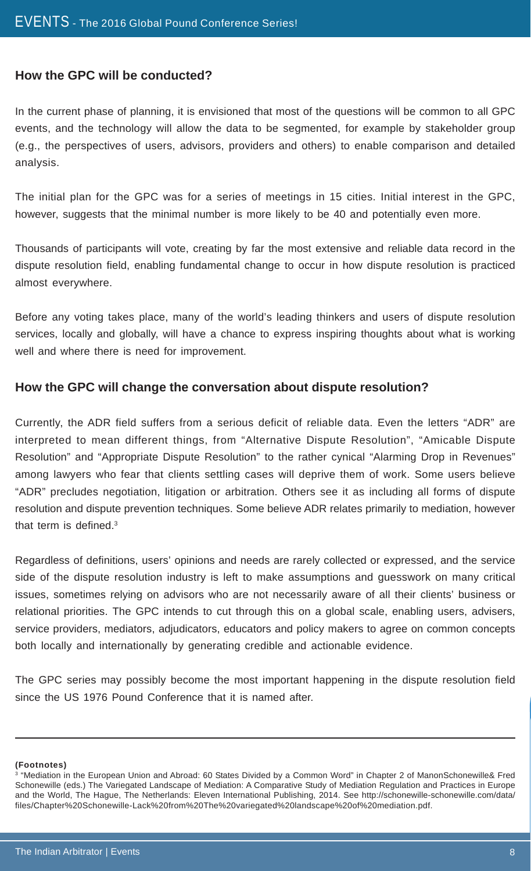#### **How the GPC will be conducted?**

In the current phase of planning, it is envisioned that most of the questions will be common to all GPC events, and the technology will allow the data to be segmented, for example by stakeholder group (e.g., the perspectives of users, advisors, providers and others) to enable comparison and detailed analysis.

The initial plan for the GPC was for a series of meetings in 15 cities. Initial interest in the GPC, however, suggests that the minimal number is more likely to be 40 and potentially even more.

Thousands of participants will vote, creating by far the most extensive and reliable data record in the dispute resolution field, enabling fundamental change to occur in how dispute resolution is practiced almost everywhere.

Before any voting takes place, many of the world's leading thinkers and users of dispute resolution services, locally and globally, will have a chance to express inspiring thoughts about what is working well and where there is need for improvement.

#### **How the GPC will change the conversation about dispute resolution?**

Currently, the ADR field suffers from a serious deficit of reliable data. Even the letters "ADR" are interpreted to mean different things, from "Alternative Dispute Resolution", "Amicable Dispute Resolution" and "Appropriate Dispute Resolution" to the rather cynical "Alarming Drop in Revenues" among lawyers who fear that clients settling cases will deprive them of work. Some users believe "ADR" precludes negotiation, litigation or arbitration. Others see it as including all forms of dispute resolution and dispute prevention techniques. Some believe ADR relates primarily to mediation, however that term is defined.3

Regardless of definitions, users' opinions and needs are rarely collected or expressed, and the service side of the dispute resolution industry is left to make assumptions and guesswork on many critical issues, sometimes relying on advisors who are not necessarily aware of all their clients' business or relational priorities. The GPC intends to cut through this on a global scale, enabling users, advisers, service providers, mediators, adjudicators, educators and policy makers to agree on common concepts both locally and internationally by generating credible and actionable evidence.

The GPC series may possibly become the most important happening in the dispute resolution field since the US 1976 Pound Conference that it is named after.

**(Footnotes)**

<sup>3</sup> "Mediation in the European Union and Abroad: 60 States Divided by a Common Word" in Chapter 2 of ManonSchonewille& Fred Schonewille (eds.) The Variegated Landscape of Mediation: A Comparative Study of Mediation Regulation and Practices in Europe and the World, The Hague, The Netherlands: Eleven International Publishing, 2014. See http://schonewille-schonewille.com/data/ files/Chapter%20Schonewille-Lack%20from%20The%20variegated%20landscape%20of%20mediation.pdf.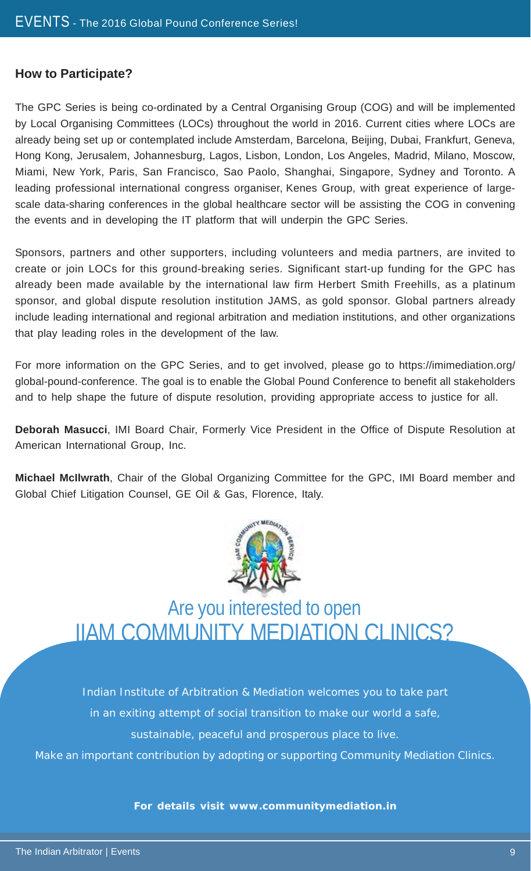#### **How to Participate?**

The GPC Series is being co-ordinated by a Central Organising Group (COG) and will be implemented by Local Organising Committees (LOCs) throughout the world in 2016. Current cities where LOCs are already being set up or contemplated include Amsterdam, Barcelona, Beijing, Dubai, Frankfurt, Geneva, Hong Kong, Jerusalem, Johannesburg, Lagos, Lisbon, London, Los Angeles, Madrid, Milano, Moscow, Miami, New York, Paris, San Francisco, Sao Paolo, Shanghai, Singapore, Sydney and Toronto. A leading professional international congress organiser, Kenes Group, with great experience of largescale data-sharing conferences in the global healthcare sector will be assisting the COG in convening the events and in developing the IT platform that will underpin the GPC Series.

Sponsors, partners and other supporters, including volunteers and media partners, are invited to create or join LOCs for this ground-breaking series. Significant start-up funding for the GPC has already been made available by the international law firm Herbert Smith Freehills, as a platinum sponsor, and global dispute resolution institution JAMS, as gold sponsor. Global partners already include leading international and regional arbitration and mediation institutions, and other organizations that play leading roles in the development of the law.

For more information on the GPC Series, and to get involved, please go to https://imimediation.org/ global-pound-conference. The goal is to enable the Global Pound Conference to benefit all stakeholders and to help shape the future of dispute resolution, providing appropriate access to justice for all.

**Deborah Masucci**, IMI Board Chair, Formerly Vice President in the Office of Dispute Resolution at American International Group, Inc.

**Michael McIlwrath**, Chair of the Global Organizing Committee for the GPC, IMI Board member and Global Chief Litigation Counsel, GE Oil & Gas, Florence, Italy.



Are you interested to open IIAM COMMUNITY MEDIATION CLINICS?

Indian Institute of Arbitration & Mediation welcomes you to take part in an exiting attempt of social transition to make our world a safe, sustainable, peaceful and prosperous place to live.

Make an important contribution by adopting or supporting Community Mediation Clinics.

**For details visit www.communitymediation.in**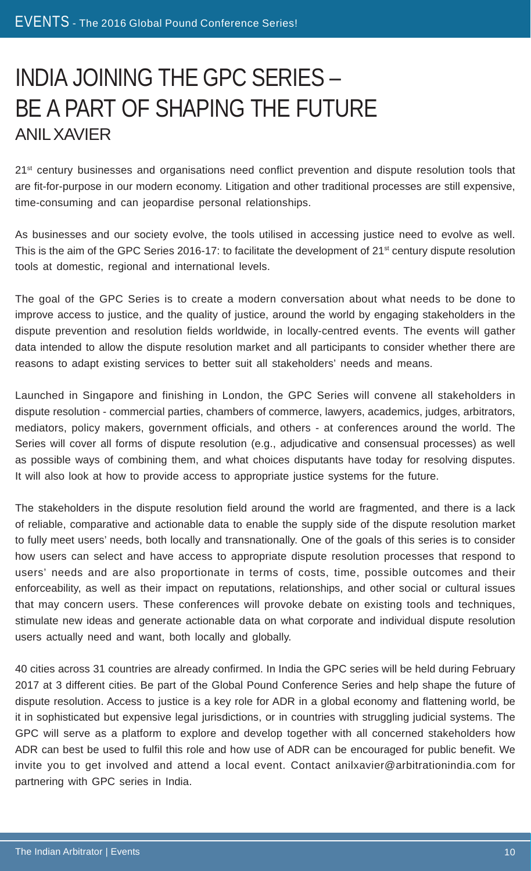### INDIA JOINING THE GPC SERIES – BE A PART OF SHAPING THE FUTURE ANIL XAVIER

21<sup>st</sup> century businesses and organisations need conflict prevention and dispute resolution tools that are fit-for-purpose in our modern economy. Litigation and other traditional processes are still expensive, time-consuming and can jeopardise personal relationships.

As businesses and our society evolve, the tools utilised in accessing justice need to evolve as well. This is the aim of the GPC Series 2016-17: to facilitate the development of 21<sup>st</sup> century dispute resolution tools at domestic, regional and international levels.

The goal of the GPC Series is to create a modern conversation about what needs to be done to improve access to justice, and the quality of justice, around the world by engaging stakeholders in the dispute prevention and resolution fields worldwide, in locally-centred events. The events will gather data intended to allow the dispute resolution market and all participants to consider whether there are reasons to adapt existing services to better suit all stakeholders' needs and means.

Launched in Singapore and finishing in London, the GPC Series will convene all stakeholders in dispute resolution - commercial parties, chambers of commerce, lawyers, academics, judges, arbitrators, mediators, policy makers, government officials, and others - at conferences around the world. The Series will cover all forms of dispute resolution (e.g., adjudicative and consensual processes) as well as possible ways of combining them, and what choices disputants have today for resolving disputes. It will also look at how to provide access to appropriate justice systems for the future.

The stakeholders in the dispute resolution field around the world are fragmented, and there is a lack of reliable, comparative and actionable data to enable the supply side of the dispute resolution market to fully meet users' needs, both locally and transnationally. One of the goals of this series is to consider how users can select and have access to appropriate dispute resolution processes that respond to users' needs and are also proportionate in terms of costs, time, possible outcomes and their enforceability, as well as their impact on reputations, relationships, and other social or cultural issues that may concern users. These conferences will provoke debate on existing tools and techniques, stimulate new ideas and generate actionable data on what corporate and individual dispute resolution users actually need and want, both locally and globally.

40 cities across 31 countries are already confirmed. In India the GPC series will be held during February 2017 at 3 different cities. Be part of the Global Pound Conference Series and help shape the future of dispute resolution. Access to justice is a key role for ADR in a global economy and flattening world, be it in sophisticated but expensive legal jurisdictions, or in countries with struggling judicial systems. The GPC will serve as a platform to explore and develop together with all concerned stakeholders how ADR can best be used to fulfil this role and how use of ADR can be encouraged for public benefit. We invite you to get involved and attend a local event. Contact anilxavier@arbitrationindia.com for partnering with GPC series in India.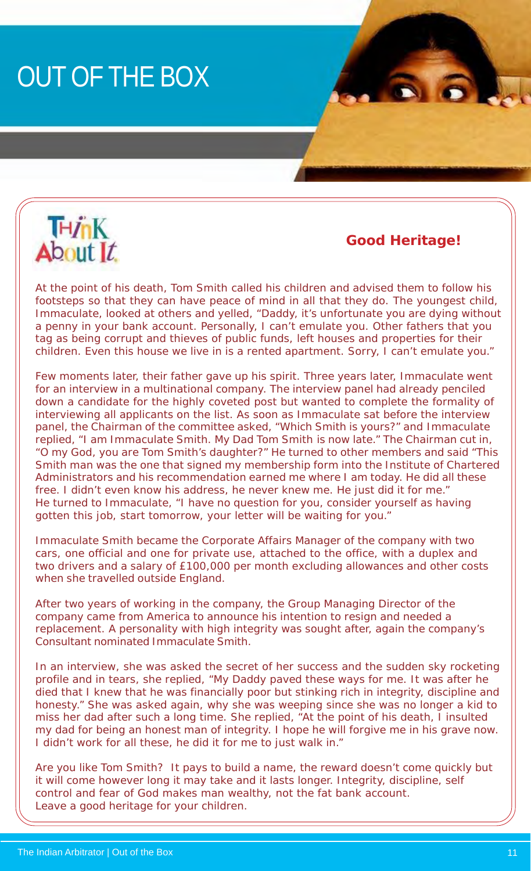# OUT OF THE BOX



 **Good Heritage!**

At the point of his death, Tom Smith called his children and advised them to follow his footsteps so that they can have peace of mind in all that they do. The youngest child, Immaculate, looked at others and yelled, "Daddy, it's unfortunate you are dying without a penny in your bank account. Personally, I can't emulate you. Other fathers that you tag as being corrupt and thieves of public funds, left houses and properties for their children. Even this house we live in is a rented apartment. Sorry, I can't emulate you."

Few moments later, their father gave up his spirit. Three years later, Immaculate went for an interview in a multinational company. The interview panel had already penciled down a candidate for the highly coveted post but wanted to complete the formality of interviewing all applicants on the list. As soon as Immaculate sat before the interview panel, the Chairman of the committee asked, "Which Smith is yours?" and Immaculate replied, "I am Immaculate Smith. My Dad Tom Smith is now late." The Chairman cut in, "O my God, you are Tom Smith's daughter?" He turned to other members and said "This Smith man was the one that signed my membership form into the Institute of Chartered Administrators and his recommendation earned me where I am today. He did all these free. I didn't even know his address, he never knew me. He just did it for me." He turned to Immaculate, "I have no question for you, consider yourself as having gotten this job, start tomorrow, your letter will be waiting for you."

Immaculate Smith became the Corporate Affairs Manager of the company with two cars, one official and one for private use, attached to the office, with a duplex and two drivers and a salary of £100,000 per month excluding allowances and other costs when she travelled outside England.

After two years of working in the company, the Group Managing Director of the company came from America to announce his intention to resign and needed a replacement. A personality with high integrity was sought after, again the company's Consultant nominated Immaculate Smith.

In an interview, she was asked the secret of her success and the sudden sky rocketing profile and in tears, she replied, "My Daddy paved these ways for me. It was after he died that I knew that he was financially poor but stinking rich in integrity, discipline and honesty." She was asked again, why she was weeping since she was no longer a kid to miss her dad after such a long time. She replied, "At the point of his death, I insulted my dad for being an honest man of integrity. I hope he will forgive me in his grave now. I didn't work for all these, he did it for me to just walk in."

Are you like Tom Smith? It pays to build a name, the reward doesn't come quickly but it will come however long it may take and it lasts longer. Integrity, discipline, self control and fear of God makes man wealthy, not the fat bank account. Leave a good heritage for your children.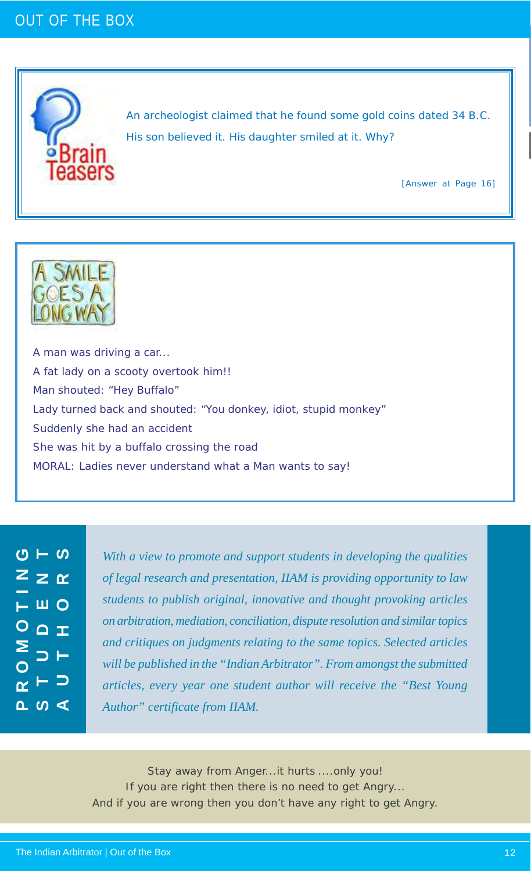#### OUT OF THE BOX



An archeologist claimed that he found some gold coins dated 34 B.C. His son believed it. His daughter smiled at it. Why?

[Answer at Page 16]



A man was driving a car... A fat lady on a scooty overtook him!! Man shouted: "Hey Buffalo" Lady turned back and shouted: "You donkey, idiot, stupid monkey" Suddenly she had an accident She was hit by a buffalo crossing the road MORAL: Ladies never understand what a Man wants to say!

ပ  $-$  ပ **STUDENT AUTHORS PROMOTING** 2 z ∼  $0$ ○△ェ  $\sim$   $\sim$   $\sim$ 

*With a view to promote and support students in developing the qualities of legal research and presentation, IIAM is providing opportunity to law students to publish original, innovative and thought provoking articles on arbitration, mediation, conciliation, dispute resolution and similar topics and critiques on judgments relating to the same topics. Selected articles will be published in the "Indian Arbitrator". From amongst the submitted articles, every year one student author will receive the "Best Young Author" certificate from IIAM.*

Stay away from Anger...it hurts ....only you! If you are right then there is no need to get Angry... And if you are wrong then you don't have any right to get Angry.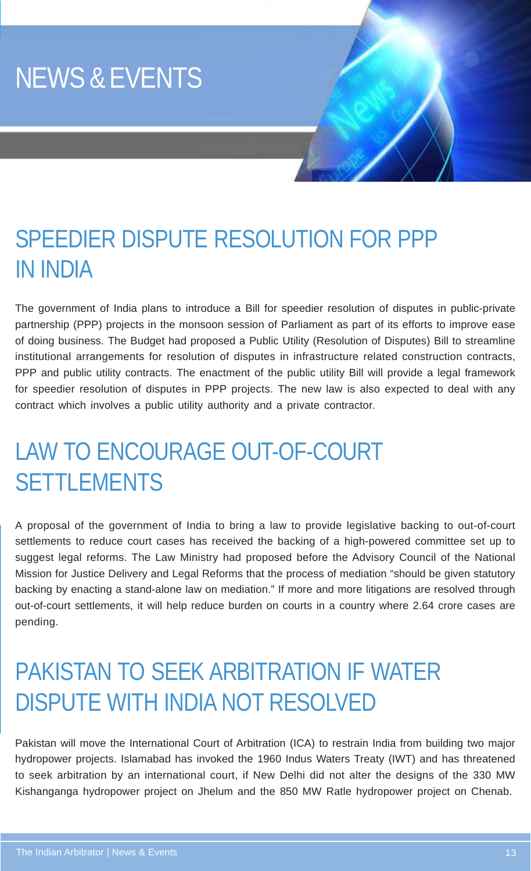# NEWS & EVENTS

### SPEEDIER DISPUTE RESOLUTION FOR PPP IN INDIA

The government of India plans to introduce a Bill for speedier resolution of disputes in public-private partnership (PPP) projects in the monsoon session of Parliament as part of its efforts to improve ease of doing business. The Budget had proposed a Public Utility (Resolution of Disputes) Bill to streamline institutional arrangements for resolution of disputes in infrastructure related construction contracts, PPP and public utility contracts. The enactment of the public utility Bill will provide a legal framework for speedier resolution of disputes in PPP projects. The new law is also expected to deal with any contract which involves a public utility authority and a private contractor.

# LAW TO ENCOURAGE OUT-OF-COURT **SETTLEMENTS**

A proposal of the government of India to bring a law to provide legislative backing to out-of-court settlements to reduce court cases has received the backing of a high-powered committee set up to suggest legal reforms. The Law Ministry had proposed before the Advisory Council of the National Mission for Justice Delivery and Legal Reforms that the process of mediation "should be given statutory backing by enacting a stand-alone law on mediation." If more and more litigations are resolved through out-of-court settlements, it will help reduce burden on courts in a country where 2.64 crore cases are pending.

### PAKISTAN TO SEEK ARBITRATION IF WATER DISPUTE WITH INDIA NOT RESOLVED

Pakistan will move the International Court of Arbitration (ICA) to restrain India from building two major hydropower projects. Islamabad has invoked the 1960 Indus Waters Treaty (IWT) and has threatened to seek arbitration by an international court, if New Delhi did not alter the designs of the 330 MW Kishanganga hydropower project on Jhelum and the 850 MW Ratle hydropower project on Chenab.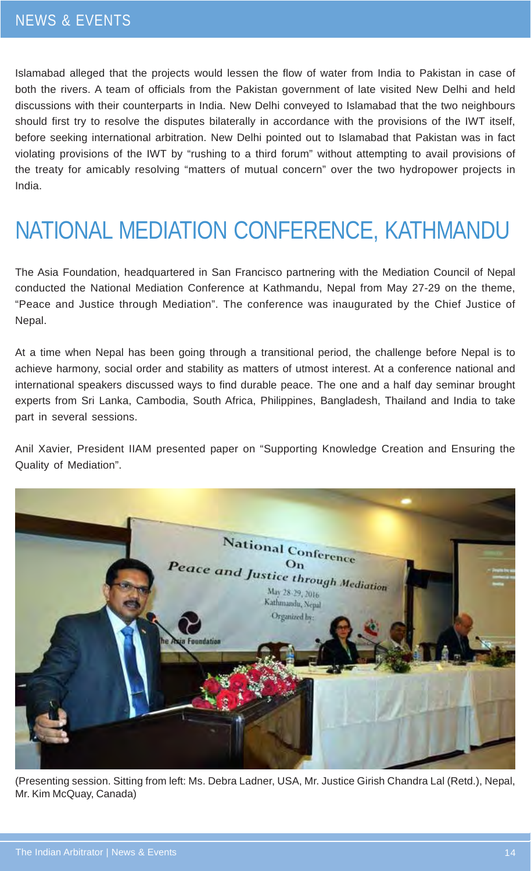Islamabad alleged that the projects would lessen the flow of water from India to Pakistan in case of both the rivers. A team of officials from the Pakistan government of late visited New Delhi and held discussions with their counterparts in India. New Delhi conveyed to Islamabad that the two neighbours should first try to resolve the disputes bilaterally in accordance with the provisions of the IWT itself, before seeking international arbitration. New Delhi pointed out to Islamabad that Pakistan was in fact violating provisions of the IWT by "rushing to a third forum" without attempting to avail provisions of the treaty for amicably resolving "matters of mutual concern" over the two hydropower projects in India.

# NATIONAL MEDIATION CONFERENCE, KATHMANDU

The Asia Foundation, headquartered in San Francisco partnering with the Mediation Council of Nepal conducted the National Mediation Conference at Kathmandu, Nepal from May 27-29 on the theme, "Peace and Justice through Mediation". The conference was inaugurated by the Chief Justice of Nepal.

At a time when Nepal has been going through a transitional period, the challenge before Nepal is to achieve harmony, social order and stability as matters of utmost interest. At a conference national and international speakers discussed ways to find durable peace. The one and a half day seminar brought experts from Sri Lanka, Cambodia, South Africa, Philippines, Bangladesh, Thailand and India to take part in several sessions.

Anil Xavier, President IIAM presented paper on "Supporting Knowledge Creation and Ensuring the Quality of Mediation".



(Presenting session. Sitting from left: Ms. Debra Ladner, USA, Mr. Justice Girish Chandra Lal (Retd.), Nepal, Mr. Kim McQuay, Canada)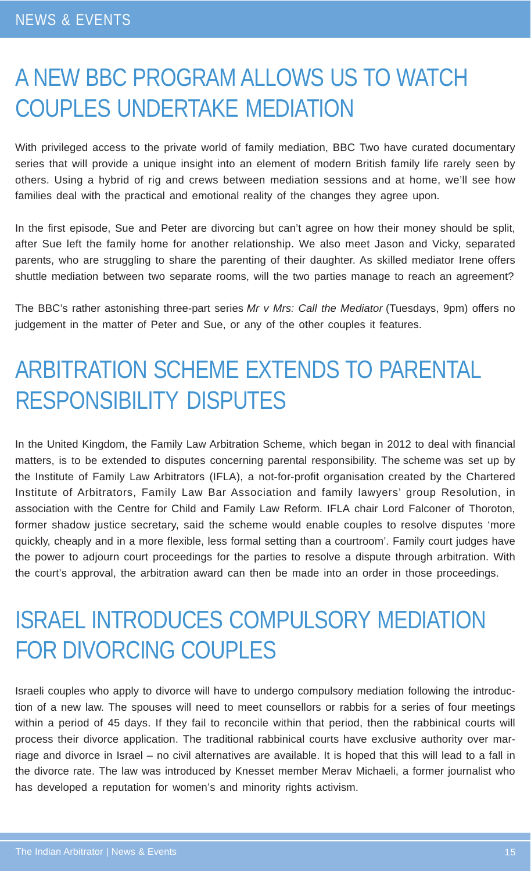### A NEW BBC PROGRAM ALLOWS US TO WATCH COUPLES UNDERTAKE MEDIATION

With privileged access to the private world of family mediation, BBC Two have curated documentary series that will provide a unique insight into an element of modern British family life rarely seen by others. Using a hybrid of rig and crews between mediation sessions and at home, we'll see how families deal with the practical and emotional reality of the changes they agree upon.

In the first episode, Sue and Peter are divorcing but can't agree on how their money should be split, after Sue left the family home for another relationship. We also meet Jason and Vicky, separated parents, who are struggling to share the parenting of their daughter. As skilled mediator Irene offers shuttle mediation between two separate rooms, will the two parties manage to reach an agreement?

The BBC's rather astonishing three-part series *Mr v Mrs: Call the Mediator* (Tuesdays, 9pm) offers no judgement in the matter of Peter and Sue, or any of the other couples it features.

### ARBITRATION SCHEME EXTENDS TO PARENTAL RESPONSIBILITY DISPUTES

In the United Kingdom, the Family Law Arbitration Scheme, which began in 2012 to deal with financial matters, is to be extended to disputes concerning parental responsibility. The scheme was set up by the Institute of Family Law Arbitrators (IFLA), a not-for-profit organisation created by the Chartered Institute of Arbitrators, Family Law Bar Association and family lawyers' group Resolution, in association with the Centre for Child and Family Law Reform. IFLA chair Lord Falconer of Thoroton, former shadow justice secretary, said the scheme would enable couples to resolve disputes 'more quickly, cheaply and in a more flexible, less formal setting than a courtroom'. Family court judges have the power to adjourn court proceedings for the parties to resolve a dispute through arbitration. With the court's approval, the arbitration award can then be made into an order in those proceedings.

### ISRAEL INTRODUCES COMPULSORY MEDIATION FOR DIVORCING COUPLES

Israeli couples who apply to divorce will have to undergo compulsory mediation following the introduction of a new law. The spouses will need to meet counsellors or rabbis for a series of four meetings within a period of 45 days. If they fail to reconcile within that period, then the rabbinical courts will process their divorce application. The traditional rabbinical courts have exclusive authority over marriage and divorce in Israel – no civil alternatives are available. It is hoped that this will lead to a fall in the divorce rate. The law was introduced by Knesset member Merav Michaeli, a former journalist who has developed a reputation for women's and minority rights activism.